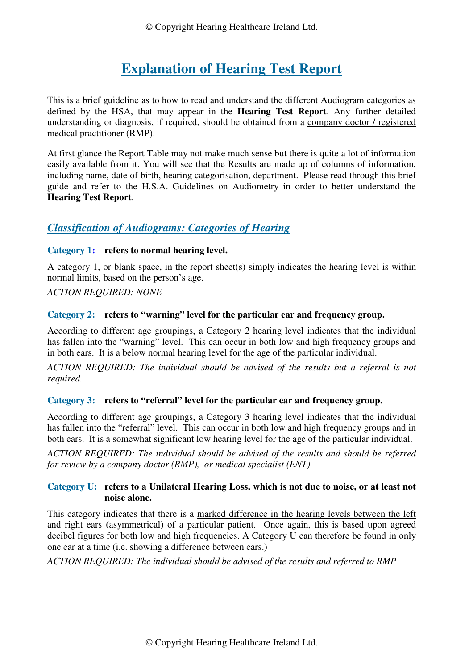© Copyright Hearing Healthcare Ireland Ltd.

# **Explanation of Hearing Test Report**

This is a brief guideline as to how to read and understand the different Audiogram categories as defined by the HSA, that may appear in the **Hearing Test Report**. Any further detailed understanding or diagnosis, if required, should be obtained from a company doctor / registered medical practitioner (RMP).

At first glance the Report Table may not make much sense but there is quite a lot of information easily available from it. You will see that the Results are made up of columns of information, including name, date of birth, hearing categorisation, department. Please read through this brief guide and refer to the H.S.A. Guidelines on Audiometry in order to better understand the **Hearing Test Report**.

# *Classification of Audiograms: Categories of Hearing*

# **Category 1: refers to normal hearing level.**

A category 1, or blank space, in the report sheet(s) simply indicates the hearing level is within normal limits, based on the person's age.

# *ACTION REQUIRED: NONE*

# **Category 2: refers to "warning" level for the particular ear and frequency group.**

According to different age groupings, a Category 2 hearing level indicates that the individual has fallen into the "warning" level. This can occur in both low and high frequency groups and in both ears. It is a below normal hearing level for the age of the particular individual.

*ACTION REQUIRED: The individual should be advised of the results but a referral is not required.* 

### **Category 3: refers to "referral" level for the particular ear and frequency group.**

According to different age groupings, a Category 3 hearing level indicates that the individual has fallen into the "referral" level. This can occur in both low and high frequency groups and in both ears. It is a somewhat significant low hearing level for the age of the particular individual.

*ACTION REQUIRED: The individual should be advised of the results and should be referred for review by a company doctor (RMP), or medical specialist (ENT)* 

### **Category U: refers to a Unilateral Hearing Loss, which is not due to noise, or at least not noise alone.**

This category indicates that there is a marked difference in the hearing levels between the left and right ears (asymmetrical) of a particular patient. Once again, this is based upon agreed decibel figures for both low and high frequencies. A Category U can therefore be found in only one ear at a time (i.e. showing a difference between ears.)

### *ACTION REQUIRED: The individual should be advised of the results and referred to RMP*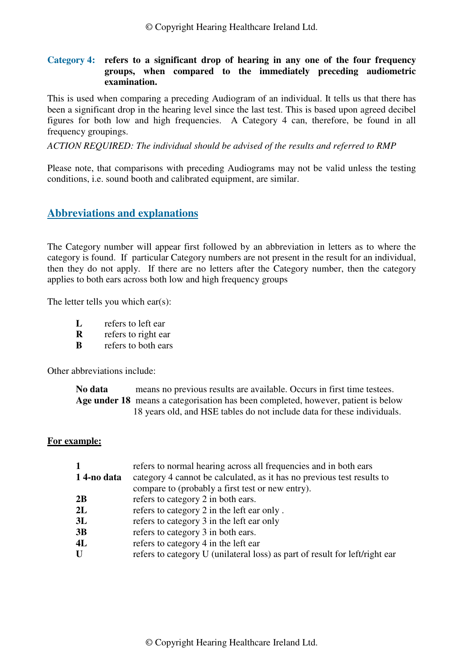#### **Category 4: refers to a significant drop of hearing in any one of the four frequency groups, when compared to the immediately preceding audiometric examination.**

This is used when comparing a preceding Audiogram of an individual. It tells us that there has been a significant drop in the hearing level since the last test. This is based upon agreed decibel figures for both low and high frequencies. A Category 4 can, therefore, be found in all frequency groupings.

#### *ACTION REQUIRED: The individual should be advised of the results and referred to RMP*

Please note, that comparisons with preceding Audiograms may not be valid unless the testing conditions, i.e. sound booth and calibrated equipment, are similar.

# **Abbreviations and explanations**

The Category number will appear first followed by an abbreviation in letters as to where the category is found. If particular Category numbers are not present in the result for an individual, then they do not apply. If there are no letters after the Category number, then the category applies to both ears across both low and high frequency groups

The letter tells you which ear(s):

- **L** refers to left ear
- **R** refers to right ear
- **B** refers to both ears

Other abbreviations include:

**No data** means no previous results are available. Occurs in first time testees. **Age under 18** means a categorisation has been completed, however, patient is below 18 years old, and HSE tables do not include data for these individuals.

#### **For example:**

| 14-no data | refers to normal hearing across all frequencies and in both ears<br>category 4 cannot be calculated, as it has no previous test results to<br>compare to (probably a first test or new entry). |
|------------|------------------------------------------------------------------------------------------------------------------------------------------------------------------------------------------------|
| 2B         | refers to category 2 in both ears.                                                                                                                                                             |
| 2L         | refers to category 2 in the left ear only.                                                                                                                                                     |
| 3L         | refers to category 3 in the left ear only                                                                                                                                                      |
| 3B         | refers to category 3 in both ears.                                                                                                                                                             |
| 4L         | refers to category 4 in the left ear                                                                                                                                                           |
| U          | refers to category U (unilateral loss) as part of result for left/right ear                                                                                                                    |